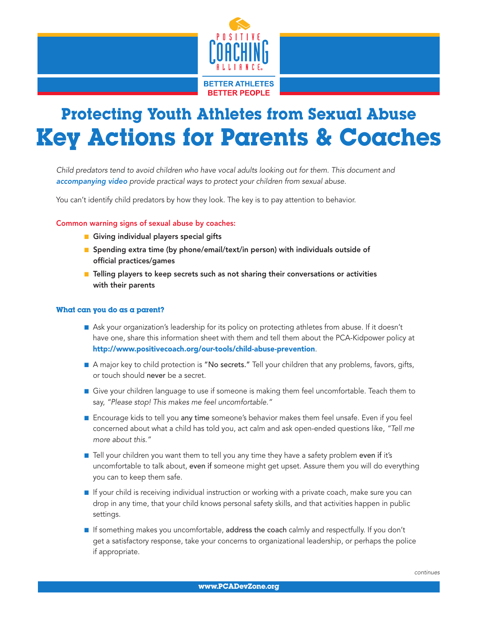

# Protecting Youth Athletes from Sexual Abuse Key Actions for Parents & Coaches

*Child predators tend to avoid children who have vocal adults looking out for them. This document and [accompanying video](http://devzone.positivecoach.org/resource/video/protecting-youth-athletes-sexual-abuse-parents-and-coaches) provide practical ways to protect your children from sexual abuse.* 

You can't identify child predators by how they look. The key is to pay attention to behavior.

## Common warning signs of sexual abuse by coaches:

- **n** Giving individual players special gifts
- **n** Spending extra time (by phone/email/text/in person) with individuals outside of official practices/games
- Telling players to keep secrets such as not sharing their conversations or activities with their parents

### What can you do as a parent?

- n Ask your organization's leadership for its policy on protecting athletes from abuse. If it doesn't have one, share this information sheet with them and tell them about the PCA-Kidpower policy at http://www.positivecoach.org/our-tools/child-abuse-prevention.
- A major key to child protection is "No secrets." Tell your children that any problems, favors, gifts, or touch should never be a secret.
- **n** Give your children language to use if someone is making them feel uncomfortable. Teach them to say, *"Please stop! This makes me feel uncomfortable."*
- **n** Encourage kids to tell you any time someone's behavior makes them feel unsafe. Even if you feel concerned about what a child has told you, act calm and ask open-ended questions like, *"Tell me more about this."*
- **n** Tell your children you want them to tell you any time they have a safety problem even if it's uncomfortable to talk about, even if someone might get upset. Assure them you will do everything you can to keep them safe.
- **n** If your child is receiving individual instruction or working with a private coach, make sure you can drop in any time, that your child knows personal safety skills, and that activities happen in public settings.
- **n** If something makes you uncomfortable, address the coach calmly and respectfully. If you don't get a satisfactory response, take your concerns to organizational leadership, or perhaps the police if appropriate.